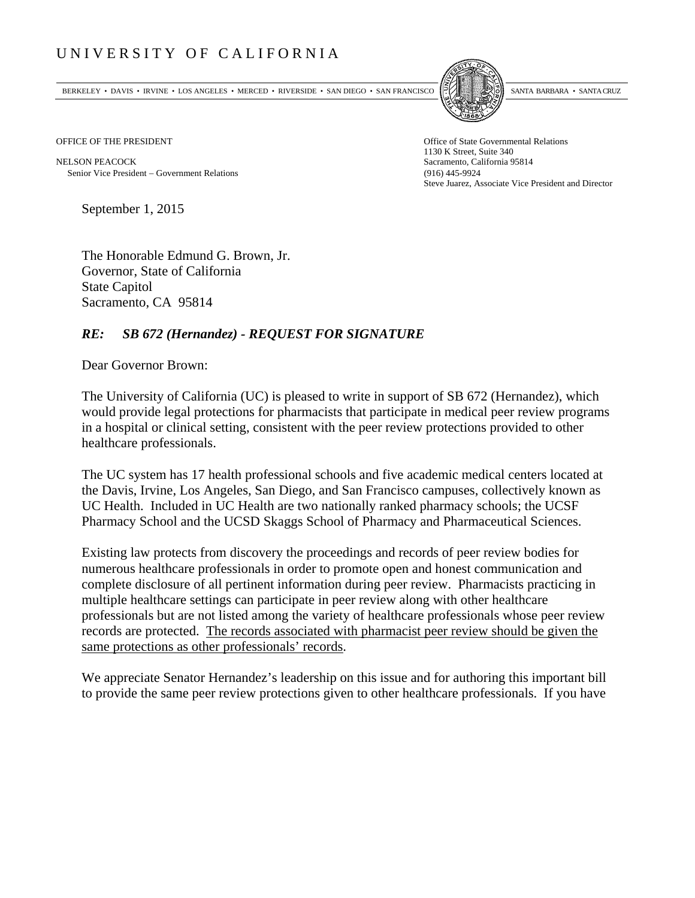## UNIVERSITY OF CALIFORNIA

BERKELEY • DAVIS • IRVINE • LOS ANGELES • MERCED • RIVERSIDE • SAN DIEGO • SAN FRANCISCO SANTA BARBARA • SANTA CRUZ



OFFICE OF THE PRESIDENT STATES OF THE PRESIDENT

NELSON PEACOCK Sacramento, California 95814 Senior Vice President Government Relations (916) 445-9924

1130 K Street, Suite 340 Steve Juarez, Associate Vice President and Director

September 1, 2015

The Honorable Edmund G. Brown, Jr. Governor, State of California State Capitol Sacramento, CA 95814

## *RE: SB 672 (Hernandez) - REQUEST FOR SIGNATURE*

Dear Governor Brown:

The University of California (UC) is pleased to write in support of SB 672 (Hernandez), which would provide legal protections for pharmacists that participate in medical peer review programs in a hospital or clinical setting, consistent with the peer review protections provided to other healthcare professionals.

The UC system has 17 health professional schools and five academic medical centers located at the Davis, Irvine, Los Angeles, San Diego, and San Francisco campuses, collectively known as UC Health. Included in UC Health are two nationally ranked pharmacy schools; the UCSF Pharmacy School and the UCSD Skaggs School of Pharmacy and Pharmaceutical Sciences.

Existing law protects from discovery the proceedings and records of peer review bodies for numerous healthcare professionals in order to promote open and honest communication and complete disclosure of all pertinent information during peer review. Pharmacists practicing in multiple healthcare settings can participate in peer review along with other healthcare professionals but are not listed among the variety of healthcare professionals whose peer review records are protected. The records associated with pharmacist peer review should be given the same protections as other professionals' records.

We appreciate Senator Hernandez's leadership on this issue and for authoring this important bill to provide the same peer review protections given to other healthcare professionals. If you have